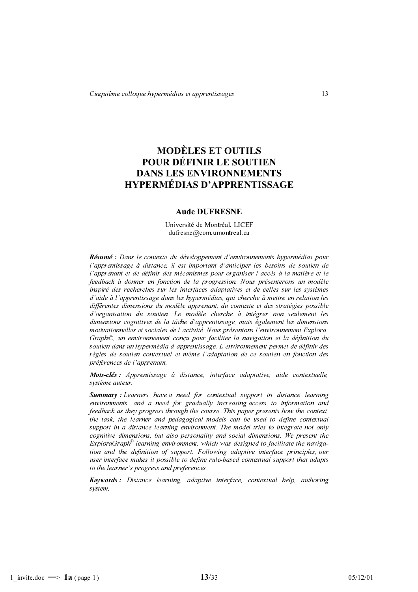# **MODÈLES ET OUTILS** POUR DÉFINIR LE SOUTIEN **DANS LES ENVIRONNEMENTS HYPERMÉDIAS D'APPRENTISSAGE**

# **Aude DUFRESNE**

Université de Montréal, LICEF  $du$ fresne $@com.$ umontreal.ca

Résumé : Dans le contexte du développement d'environnements hypermédias pour l'apprentissage à distance, il est important d'anticiper les besoins de soutien de l'apprenant et de définir des mécanismes pour organiser l'accès à la matière et le feedback à donner en fonction de la progression. Nous présenterons un modèle inspiré des recherches sur les interfaces adaptatives et de celles sur les systèmes d'aide à l'apprentissage dans les hypermédias, qui cherche à mettre en relation les différentes dimensions du modèle apprenant, du contexte et des stratégies possible d'organisation du soutien. Le modèle cherche à intégrer non seulement les dimensions cognitives de la tâche d'apprentissage, mais également les dimensions motivationnelles et sociales de l'activité. Nous présentons l'environnement Explora-Graph©, un environnement conçu pour faciliter la navigation et la définition du soutien dans un hypermédia d'apprentissage. L'environnement permet de définir des règles de soutien contextuel et même l'adaptation de ce soutien en fonction des préférences de l'apprenant.

Mots-clés : Apprentissage à distance, interface adaptative, aide contextuelle, système auteur.

**Summary**: Learners have a need for contextual support in distance learning environments, and a need for gradually increasing access to information and feedback as they progress through the course. This paper presents how the context, the task, the learner and pedagogical models can be used to define contextual support in a distance learning environment. The model tries to integrate not only cognitive dimensions, but also personality and social dimensions. We present the  $Explor a Graph<sup>°</sup> learning environment, which was designed to facilitate the naviga$ tion and the definition of support. Following adaptive interface principles, our user interface makes it possible to define rule-based contextual support that adapts to the learner's progress and preferences.

**Keywords:** Distance learning, adaptive interface, contextual help, authoring system.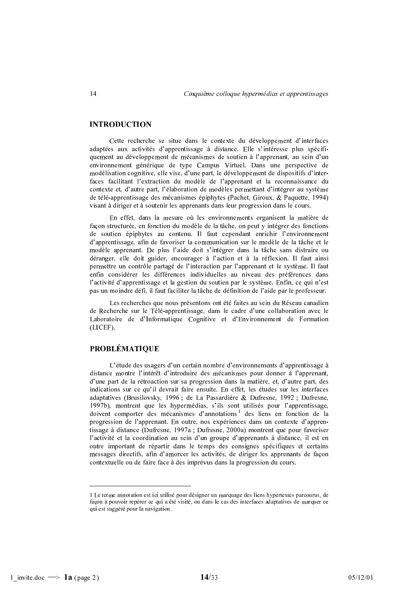# **INTRODUCTION**

Cette recherche se situe dans le contexte du développement d'interfaces adaptées aux activités d'apprentissage à distance. Elle s'intéresse plus spécifiquement au développement de mécanismes de soutien à l'apprenant, au sein d'un environnement générique de type Campus Virtuel. Dans une perspective de modélisation cognitive, elle vise, d'une part, le développement de dispositifs d'interfaces facilitant l'extraction du modèle de l'apprenant et la reconnaissance du contexte et, d'autre part, l'élaboration de modèles permettant d'intégrer au système de télé-apprentissage des mécanismes épiphytes (Pachet, Giroux, & Paquette, 1994) visant à diriger et à soutenir les apprenants dans leur progression dans le cours.

En effet, dans la mesure où les environnements organisent la matière de façon structurée, en fonction du modèle de la tâche, on peut y intégrer des fonctions de soutien épiphytes au contenu. Il faut cependant enrichir l'environnement d'apprentissage, afin de favoriser la communication sur le modèle de la tâche et le modèle apprenant. De plus l'aide doit s'intégrer dans la tâche sans distraire ou déranger, elle doit guider, encourager à l'action et à la réflexion. Il faut ainsi permettre un contrôle partagé de l'interaction par l'apprenant et le système. Il faut enfin considérer les différences individuelles au niveau des préférences dans l'activité d'apprentissage et la gestion du soutien par le système. Enfin, ce qui n'est pas un moindre défi, il faut faciliter la tâche de définition de l'aide par le professeur.

Les recherches que nous présentons ont été faites au sein du Réseau canadien de Recherche sur le Télé-apprentissage, dans le cadre d'une collaboration avec le Laboratoire de d'Informatique Cognitive et d'Environnement de Formation (LICEF).

# **PROBLÉMATIQUE**

L'étude des usagers d'un certain nombre d'environnements d'apprentissage à distance montre l'intérêt d'introduire des mécanismes pour donner à l'apprenant, d'une part de la rétroaction sur sa progression dans la matière, et, d'autre part, des indications sur ce qu'il devrait faire ensuite. En effet, les études sur les interfaces adaptatives (Brusilovsky, 1996; de La Passardière & Dufresne, 1992; Dufresne, 1997b), montrent que les hypermédias, s'ils sont utilisés pour l'apprentissage, doivent comporter des mécanismes d'annotations<sup>1</sup> des liens en fonction de la progression de l'apprenant. En outre, nos expériences dans un contexte d'apprentissage à distance (Dufresne, 1997a ; Dufresne, 2000a) montrent que pour favoriser l'activité et la coordination au sein d'un groupe d'apprenants à distance, il est en outre important de répartir dans le temps des consignes spécifiques et certains messages directifs, afin d'amorcer les activités, de diriger les apprenants de façon contextuelle ou de faire face à des imprévus dans la progression du cours.

<sup>1</sup> Le terme annotation est ici utilisé pour désigner un marquage des liens hypertextes parcourus, de façon à pouvoir repérer ce qui a été visité, ou dans le cas des interfaces adaptatives de marquer ce qui est suggéré pour la navigation.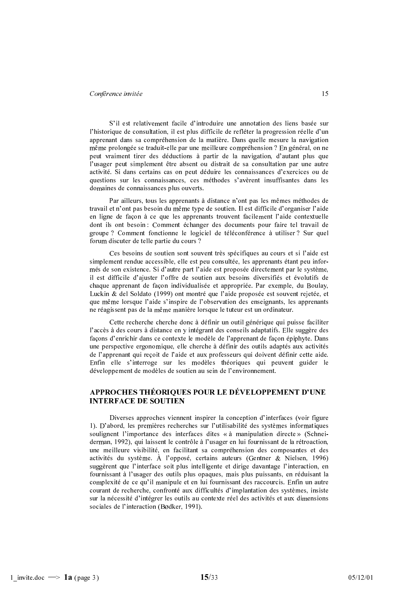S'il est relativement facile d'introduire une annotation des liens basée sur l'historique de consultation, il est plus difficile de refléter la progression réelle d'un apprenant dans sa compréhension de la matière. Dans quelle mesure la navigation même prolongée se traduit-elle par une meilleure compréhension ? En général, on ne peut vraiment tirer des déductions à partir de la navigation, d'autant plus que l'usager peut simplement être absent ou distrait de sa consultation par une autre activité. Si dans certains cas on peut déduire les connaissances d'exercices ou de questions sur les connaissances, ces méthodes s'avèrent insuffisantes dans les domaines de connaissances plus ouverts.

Par ailleurs, tous les apprenants à distance n'ont pas les mêmes méthodes de travail et n'ont pas besoin du même type de soutien. Il est difficile d'organiser l'aide en ligne de façon à ce que les apprenants trouvent facilement l'aide contextuelle dont ils ont besoin : Comment échanger des documents pour faire tel travail de groupe? Comment fonctionne le logiciel de téléconférence à utiliser? Sur quel forum discuter de telle partie du cours ?

Ces besoins de soutien sont souvent très spécifiques au cours et si l'aide est simplement rendue accessible, elle est peu consultée, les apprenants étant peu informés de son existence. Si d'autre part l'aide est proposée directement par le système, il est difficile d'ajuster l'offre de soutien aux besoins diversifiés et évolutifs de chaque apprenant de façon individualisée et appropriée. Par exemple, du Boulay, Luckin & del Soldato (1999) ont montré que l'aide proposée est souvent rejetée, et que même lorsque l'aide s'inspire de l'observation des enseignants, les apprenants ne réagissent pas de la même manière lorsque le tuteur est un ordinateur.

Cette recherche cherche donc à définir un outil générique qui puisse faciliter l'accès à des cours à distance en y intégrant des conseils adaptatifs. Elle suggère des façons d'enrichir dans ce contexte le modèle de l'apprenant de façon épiphyte. Dans une perspective ergonomique, elle cherche à définir des outils adaptés aux activités de l'apprenant qui reçoit de l'aide et aux professeurs qui doivent définir cette aide. Enfin elle s'interroge sur les modèles théoriques qui peuvent guider le développement de modèles de soutien au sein de l'environnement.

# APPROCHES THÉORIQUES POUR LE DÉVELOPPEMENT D'UNE **INTERFACE DE SOUTIEN**

Diverses approches viennent inspirer la conception d'interfaces (voir figure 1). D'abord, les premières recherches sur l'utilisabilité des systèmes informatiques soulignent l'importance des interfaces dites « à manipulation directe » (Schneiderman, 1992), qui laissent le contrôle à l'usager en lui fournissant de la rétroaction, une meilleure visibilité, en facilitant sa compréhension des composantes et des activités du système. À l'opposé, certains auteurs (Gentner & Nielsen, 1996) suggèrent que l'interface soit plus intelligente et dirige davantage l'interaction, en fournissant à l'usager des outils plus opaques, mais plus puissants, en réduisant la complexité de ce qu'il manipule et en lui fournissant des raccourcis. Enfin un autre courant de recherche, confronté aux difficultés d'implantation des systèmes, insiste sur la nécessité d'intégrer les outils au contexte réel des activités et aux dimensions sociales de l'interaction (Bødker, 1991).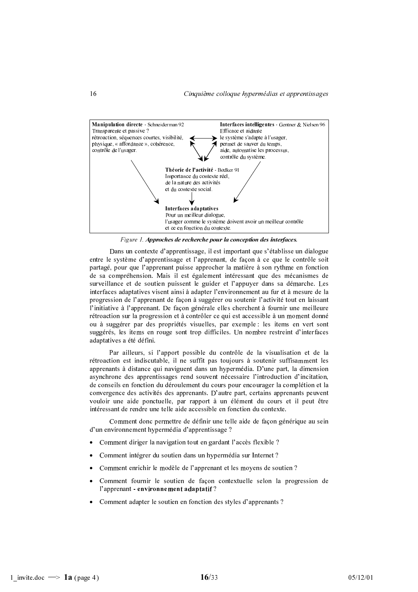

Figure 1. Approches de recherche pour la conception des interfaces.

Dans un contexte d'apprentissage, il est important que s'établisse un dialogue entre le système d'apprentissage et l'apprenant, de façon à ce que le contrôle soit partagé, pour que l'apprenant puisse approcher la matière à son rythme en fonction de sa compréhension. Mais il est également intéressant que des mécanismes de surveillance et de soutien puissent le guider et l'appuyer dans sa démarche. Les interfaces adaptatives visent ainsi à adapter l'environnement au fur et à mesure de la progression de l'apprenant de façon à suggérer ou soutenir l'activité tout en laissant l'initiative à l'apprenant. De facon générale elles cherchent à fournir une meilleure rétroaction sur la progression et à contrôler ce qui est accessible à un moment donné ou à suggérer par des propriétés visuelles, par exemple : les items en vert sont suggérés, les items en rouge sont trop difficiles. Un nombre restreint d'interfaces adaptatives a été défini.

Par ailleurs, si l'apport possible du contrôle de la visualisation et de la rétroaction est indiscutable, il ne suffit pas toujours à soutenir suffisamment les apprenants à distance qui naviguent dans un hypermédia. D'une part, la dimension asynchrone des apprentissages rend souvent nécessaire l'introduction d'incitation, de conseils en fonction du déroulement du cours pour encourager la complétion et la convergence des activités des apprenants. D'autre part, certains apprenants peuvent vouloir une aide ponctuelle, par rapport à un élément du cours et il peut être intéressant de rendre une telle aide accessible en fonction du contexte.

Comment donc permettre de définir une telle aide de façon générique au sein d'un environnement hypermédia d'apprentissage ?

- Comment diriger la navigation tout en gardant l'accès flexible ?
- Comment intégrer du soutien dans un hypermédia sur Internet ?
- Comment enrichir le modèle de l'apprenant et les moyens de soutien ?
- · Comment fournir le soutien de façon contextuelle selon la progression de l'apprenant - environnement adaptatif ?
- Comment adapter le soutien en fonction des styles d'apprenants ?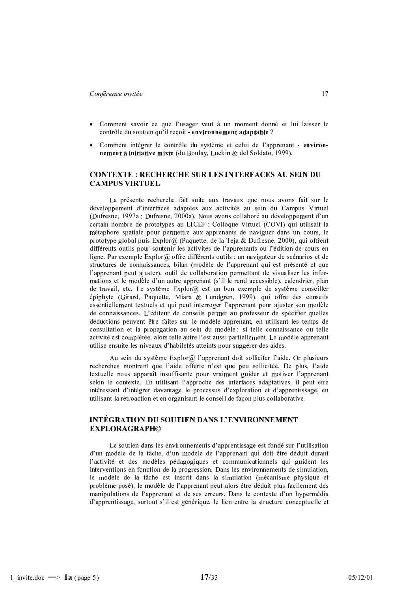- · Comment savoir ce que l'usager veut à un moment donné et lui laisser le contrôle du soutien qu'il reçoit - environnement adaptable ?
- Comment intégrer le contrôle du système et celui de l'apprenant environnement à initiative mixte (du Boulay, Luckin & del Soldato, 1999).

# **CONTEXTE: RECHERCHE SUR LES INTERFACES AU SEIN DU CAMPUS VIRTUEL**

La présente recherche fait suite aux travaux que nous avons fait sur le développement d'interfaces adaptées aux activités au sein du Campus Virtuel (Dufresne, 1997a ; Dufresne, 2000a). Nous avons collaboré au développement d'un certain nombre de prototypes au LICEF : Colloque Virtuel (COVI) qui utilisait la métaphore spatiale pour permettre aux apprenants de naviguer dans un cours, le prototype global puis Explor@ (Paquette, de la Teja & Dufresne, 2000), qui offrent différents outils pour soutenir les activités de l'apprenants ou l'édition de cours en ligne. Par exemple Explor@ offre différents outils : un navigateur de scénarios et de structures de connaissances, bilan (modèle de l'apprenant qui est présenté et que l'apprenant peut ajuster), outil de collaboration permettant de visualiser les informations et le modèle d'un autre apprenant (s'il le rend accessible), calendrier, plan de travail, etc. Le système  $Explor(\hat{\alpha})$  est un bon exemple de système conseiller épiphyte (Girard, Paquette, Miara & Lundgren, 1999), qui offre des conseils essentiellement textuels et qui peut interroger l'apprenant pour ajuster son modèle de connaissances. L'éditeur de conseils permet au professeur de spécifier quelles déductions peuvent être faites sur le modèle apprenant, en utilisant les temps de consultation et la propagation au sein du modèle : si telle connaissance ou telle activité est complétée, alors telle autre l'est aussi partiellement. Le modèle apprenant utilise ensuite les niveaux d'habiletés atteints pour suggérer des aides.

Au sein du système  $Explor@$  l'apprenant doit solliciter l'aide. Or plusieurs recherches montrent que l'aide offerte n'est que peu sollicitée. De plus, l'aide textuelle nous apparaît insuffisante pour vraiment guider et motiver l'apprenant selon le contexte. En utilisant l'approche des interfaces adaptatives, il peut être intéressant d'intégrer davantage le processus d'exploration et d'apprentissage, en utilisant la rétroaction et en organisant le conseil de façon plus collaborative.

### **INTÉGRATION DU SOUTIEN DANS L'ENVIRONNEMENT EXPLORAGRAPHO**

Le soutien dans les environnements d'apprentissage est fondé sur l'utilisation d'un modèle de la tâche, d'un modèle de l'apprenant qui doit être déduit durant l'activité et des modèles pédagogiques et communicationnels qui guident les interventions en fonction de la progression. Dans les environnements de simulation, le modèle de la tâche est inscrit dans la simulation (mécanisme physique et problème posé), le modèle de l'apprenant peut alors être déduit plus facilement des manipulations de l'apprenant et de ses erreurs. Dans le contexte d'un hypermédia d'apprentissage, surtout s'il est générique, le lien entre la structure conceptuelle et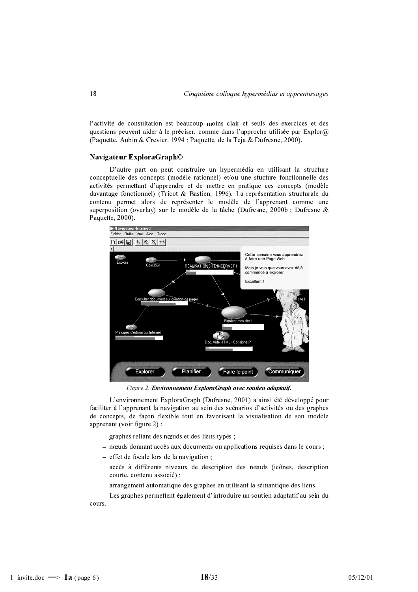l'activité de consultation est beaucoup moins clair et seuls des exercices et des questions peuvent aider à le préciser, comme dans l'approche utilisée par  $Explor@$ (Paquette, Aubin & Crevier, 1994; Paquette, de la Teja & Dufresne, 2000).

#### Navigateur ExploraGraph©

D'autre part on peut construire un hypermédia en utilisant la structure conceptuelle des concepts (modèle rationnel) et/ou une stucture fonctionnelle des activités permettant d'apprendre et de mettre en pratique ces concepts (modèle davantage fonctionnel) (Tricot & Bastien, 1996). La représentation structurale du contenu permet alors de représenter le modèle de l'apprenant comme une superposition (overlay) sur le modèle de la tâche (Dufresne, 2000b ; Dufresne & Paquette, 2000).



Figure 2. Environnement ExploraGraph avec soutien adaptatif.

L'environnement ExploraGraph (Dufresne, 2001) a ainsi été développé pour faciliter à l'apprenant la navigation au sein des scénarios d'activités ou des graphes de concepts, de façon flexible tout en favorisant la visualisation de son modèle apprenant (voir figure  $2$ ):

- graphes reliant des nœuds et des liens typés;
- nœuds donnant accès aux documents ou applications requises dans le cours;
- $-$  effet de focale lors de la navigation;
- $-$  accès à différents niveaux de description des nœuds (icônes, description courte, contenu associé);
- arrangement automatique des graphes en utilisant la sémantique des liens.

Les graphes permettent également d'introduire un soutien adaptatif au sein du cours.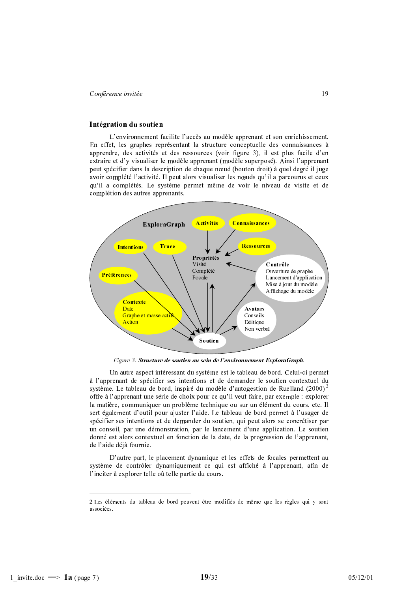#### Intégration du soutien

L'environnement facilite l'accès au modèle apprenant et son enrichissement. En effet, les graphes représentant la structure conceptuelle des connaissances à apprendre, des activités et des ressources (voir figure 3), il est plus facile d'en extraire et d'y visualiser le modèle apprenant (modèle superposé). Ainsi l'apprenant peut spécifier dans la description de chaque nœud (bouton droit) à quel degré il juge avoir complété l'activité. Il peut alors visualiser les nœuds qu'il a parcourus et ceux qu'il a complétés. Le système permet même de voir le niveau de visite et de complétion des autres apprenants.



Figure 3. Structure de soutien au sein de l'environnement ExploraGraph.

Un autre aspect intéressant du système est le tableau de bord. Celui-ci permet à l'apprenant de spécifier ses intentions et de demander le soutien contextuel du système. Le tableau de bord, inspiré du modèle d'autogestion de Ruelland  $(2000)^2$ offre à l'apprenant une série de choix pour ce qu'il veut faire, par exemple : explorer la matière, communiquer un problème technique ou sur un élément du cours, etc. Il sert également d'outil pour ajuster l'aide. Le tableau de bord permet à l'usager de spécifier ses intentions et de demander du soutien, qui peut alors se concrétiser par un conseil, par une démonstration, par le lancement d'une application. Le soutien donné est alors contextuel en fonction de la date, de la progression de l'apprenant, de l'aide déjà fournie.

D'autre part, le placement dynamique et les effets de focales permettent au système de contrôler dynamiquement ce qui est affiché à l'apprenant, afin de l'inciter à explorer telle où telle partie du cours.

<sup>2</sup> Les éléments du tableau de bord peuvent être modifiés de même que les règles qui y sont associées.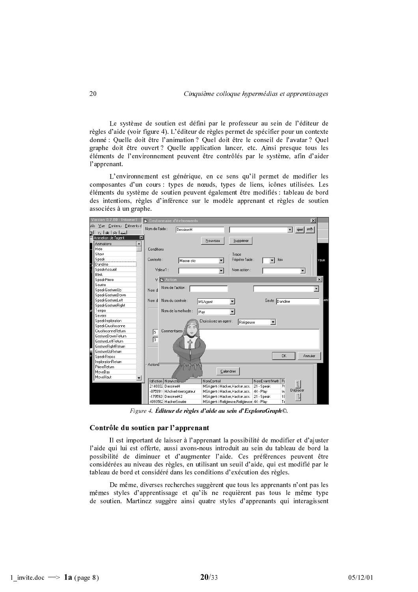Le système de soutien est défini par le professeur au sein de l'éditeur de règles d'aide (voir figure 4). L'éditeur de règles permet de spécifier pour un contexte donné : Quelle doit être l'animation ? Quel doit être le conseil de l'avatar ? Quel graphe doit être ouvert? Quelle application lancer, etc. Ainsi presque tous les éléments de l'environnement peuvent être contrôlés par le système, afin d'aider l'apprenant.

L'environnement est générique, en ce sens qu'il permet de modifier les composantes d'un cours : types de nœuds, types de liens, icônes utilisées. Les éléments du système de soutien peuvent également être modifiés : tableau de bord des intentions, règles d'inférence sur le modèle apprenant et règles de soutien associées à un graphe.

|       | Version 0.7.80 - Internet1       | G Gestionnaire d'évènements  |                                          | $\vert x \vert$               |
|-------|----------------------------------|------------------------------|------------------------------------------|-------------------------------|
| utils | Éléments d<br>Contenu<br>Vue     |                              |                                          |                               |
|       | اددا وا وا د                     | Nom de l'aide :<br>DessinerH |                                          | $\vert \cdot \vert$           |
| 밊     | Animation de l'agent<br>×        |                              |                                          |                               |
|       | Animations                       |                              | Supprimer<br>Nouveau                     |                               |
|       | Hide                             | Conditions                   |                                          |                               |
|       | Show                             |                              | Trace                                    |                               |
|       | Speak                            | Contexte:                    | Répéter l'aide :                         | fois<br>vaux                  |
|       | Dandine                          | Masse clic                   |                                          |                               |
|       | SpeakAccueil                     | Valeur1 :                    | Nom action:                              | $\blacktriangledown$          |
|       | Blink                            |                              |                                          |                               |
|       | SpeakPriere                      | V <b>E</b> Action            |                                          | $\vert x \vert$               |
|       | Sourire                          |                              |                                          |                               |
|       | SpeakGestureUp                   | Nom de l'action :<br>Nom d   |                                          | ▼                             |
|       | SpeakGestureDown                 |                              |                                          |                               |
|       | SpeakGestureLeft                 | Nom du controle :<br>Nom d   | MSAgent                                  | ien<br>Geste<br>Dandine       |
|       | SpeakGestureRight                |                              |                                          |                               |
|       | Tempo                            | Nom de la methode :          | Play                                     |                               |
|       | Severe                           |                              |                                          |                               |
|       | SpeakImploration                 |                              | Choississez un agent :<br>Religieuse     | $\blacktriangledown$          |
|       | SpeakCrucifixsonne               |                              |                                          |                               |
|       | CrucifixsonneReturn              | Commentaires<br>匤            |                                          |                               |
|       | GestureDownReturn                |                              |                                          |                               |
|       | GestureLeftReturn                | 同                            |                                          |                               |
|       | GestureRightReturn               |                              |                                          |                               |
|       | GestureUpReturn                  |                              |                                          |                               |
|       | SpeakRepos                       |                              |                                          | 0K<br>Annuler                 |
|       | ImplorationReturn                | Actions                      |                                          |                               |
|       | PriereReturn                     |                              |                                          |                               |
|       | MoveBas                          |                              | Calendrier                               |                               |
|       | MoveHaut<br>$\blacktriangledown$ | IdAction NomActic            | NomControl                               | NomEvent/Meth Pt              |
|       |                                  | 2140332 DessinerH            | MSAgent->Hacker,Hacker.acs.              | $21 - Speak$<br>74            |
|       |                                  | -875991: HAckerInterrogateur | MSAgent->Hacker,Hacker.acs.              | Déplacer<br>$44 -$ Play<br>In |
|       |                                  | -179592l DessinerH2          | MSAgent->Hacker,Hacker.acs.              | 18<br>21 - Speak              |
|       |                                  | 4093562 HackerSourire        | MSAgent->Religieuse,Religieuse 44 - Play | Tε                            |

Figure 4. Éditeur de règles d'aide au sein d'ExploraGraph©.

#### Contrôle du soutien par l'apprenant

Il est important de laisser à l'apprenant la possibilité de modifier et d'ajuster l'aide qui lui est offerte, aussi avons-nous introduit au sein du tableau de bord la possibilité de diminuer et d'augmenter l'aide. Ces préférences peuvent être considérées au niveau des règles, en utilisant un seuil d'aide, qui est modifié par le tableau de bord et considéré dans les conditions d'exécution des règles.

De même, diverses recherches suggèrent que tous les apprenants n'ont pas les mêmes styles d'apprentissage et qu'ils ne requièrent pas tous le même type de soutien. Martinez suggère ainsi quatre styles d'apprenants qui interagissent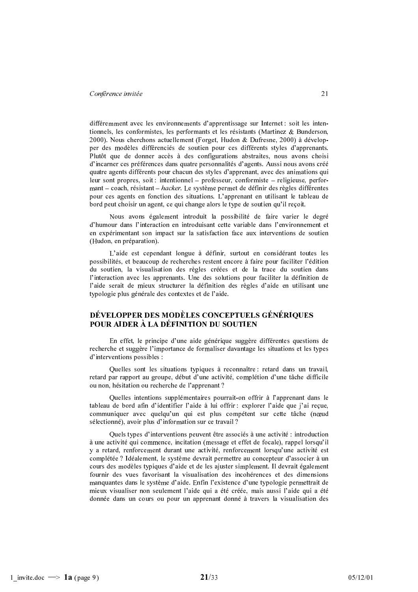différemment avec les environnements d'apprentissage sur Internet : soit les intentionnels, les conformistes, les performants et les résistants (Martinez & Bunderson, 2000). Nous cherchons actuellement (Forget, Hudon & Dufresne, 2000) à développer des modèles différenciés de soutien pour ces différents styles d'apprenants. Plutôt que de donner accès à des configurations abstraites, nous avons choisi d'incarner ces préférences dans quatre personnalités d'agents. Aussi nous avons créé quatre agents différents pour chacun des styles d'apprenant, avec des animations qui leur sont propres, soit : intentionnel – professeur, conformiste – religieuse, performant – coach, résistant – *hacker*. Le système permet de définir des règles différentes pour ces agents en fonction des situations. L'apprenant en utilisant le tableau de bord peut choisir un agent, ce qui change alors le type de soutien qu'il reçoit.

Nous avons également introduit la possibilité de faire varier le degré d'humour dans l'interaction en introduisant cette variable dans l'environnement et en expérimentant son impact sur la satisfaction face aux interventions de soutien (Hudon, en préparation).

L'aide est cependant longue à définir, surtout en considérant toutes les possibilités, et beaucoup de recherches restent encore à faire pour faciliter l'édition du soutien, la visualisation des règles créées et de la trace du soutien dans l'interaction avec les apprenants. Une des solutions pour faciliter la définition de l'aide serait de mieux structurer la définition des règles d'aide en utilisant une typologie plus générale des contextes et de l'aide.

# DÉVELOPPER DES MODÈLES CONCEPTUELS GÉNÉRIQUES POUR AIDER À LA DÉFINITION DU SOUTIEN

En effet, le principe d'une aide générique suggère différentes questions de recherche et suggère l'importance de formaliser davantage les situations et les types d'interventions possibles :

Quelles sont les situations typiques à reconnaître : retard dans un travail, retard par rapport au groupe, début d'une activité, complétion d'une tâche difficile ou non, hésitation ou recherche de l'apprenant?

Quelles intentions supplémentaires pourrait-on offrir à l'apprenant dans le tableau de bord afin d'identifier l'aide à lui offrir : explorer l'aide que j'ai reçue, communiquer avec quelqu'un qui est plus compétent sur cette tâche (nœud sélectionné), avoir plus d'information sur ce travail ?

Quels types d'interventions peuvent être associés à une activité : introduction à une activité qui commence, incitation (message et effet de focale), rappel lorsqu'il y a retard, renforcement durant une activité, renforcement lorsqu'une activité est complétée ? Idéalement, le système devrait permettre au concepteur d'associer à un cours des modèles typiques d'aide et de les ajuster simplement. Il devrait également fournir des vues favorisant la visualisation des incohérences et des dimensions manquantes dans le système d'aide. Enfin l'existence d'une typologie permettrait de mieux visualiser non seulement l'aide qui a été créée, mais aussi l'aide qui a été donnée dans un cours ou pour un apprenant donné à travers la visualisation des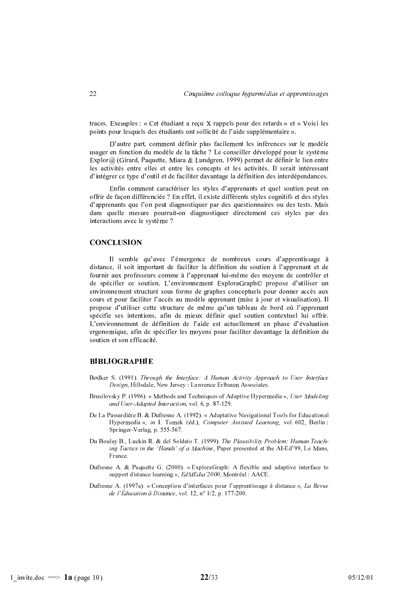traces. Exemples : « Cet étudiant a reçu X rappels pour des retards » et « Voici les points pour lesquels des étudiants ont sollicité de l'aide supplémentaire ».

D'autre part, comment définir plus facilement les inférences sur le modèle usager en fonction du modèle de la tâche ? Le conseiller développé pour le système Explor@ (Girard, Paquette, Miara & Lundgren, 1999) permet de définir le lien entre les activités entre elles et entre les concepts et les activités. Il serait intéressant d'intégrer ce type d'outil et de faciliter davantage la définition des interdépendances.

Enfin comment caractériser les styles d'apprenants et quel soutien peut on offrir de façon différenciée ? En effet, il existe différents styles cognitifs et des styles d'apprenants que l'on peut diagnostiquer par des questionnaires ou des tests. Mais dans quelle mesure pourrait-on diagnostiquer directement ces styles par des interactions avec le système ?

#### **CONCLUSION**

Il semble qu'avec l'émergence de nombreux cours d'apprentissage à distance, il soit important de faciliter la définition du soutien à l'apprenant et de fournir aux professeurs comme à l'apprenant lui-même des moyens de contrôler et de spécifier ce soutien. L'environnement ExploraGraph© propose d'utiliser un environnement structuré sous forme de graphes conceptuels pour donner accès aux cours et pour faciliter l'accès au modèle apprenant (mise à jour et visualisation). Il propose d'utiliser cette structure de même qu'un tableau de bord où l'apprenant spécifie ses intentions, afin de mieux définir quel soutien contextuel lui offrir. L'environnement de définition de l'aide est actuellement en phase d'évaluation ergonomique, afin de spécifier les moyens pour faciliter davantage la définition du soutien et son efficacité.

#### **BIBLIOGRAPHIE**

- Bødker S. (1991). Through the Interface: A Human Activity Approach to User Interface Design, Hillsdale, New Jersey : Lawrence Erlbaum Associates.
- Brusilovsky P. (1996). « Methods and Techniques of Adaptive Hypermedia », User Modeling and User-Adapted Interaction, vol. 6, p. 87-129.
- De La Passardière B. & Dufresne A. (1992). « Adaptative Navigational Tools for Educational Hypermedia », in I. Tomek (éd.), Computer Assisted Learning, vol. 602, Berlin : Springer-Verlag, p. 555-567.
- Du Boulay B., Luckin R. & del Soldato T. (1999). The Plausibility Problem: Human Teaching Tactics in the 'Hands' of a Machine, Paper presented at the AI-Ed'99, Le Mans, France.
- Dufresne A. & Paquette G. (2000). « ExploraGraph: A flexible and adaptive interface to support distance learning », EdMEdia '2000, Montréal : AACE.
- Dufresne A. (1997a). « Conception d'interfaces pour l'apprentissage à distance », La Revue de l'Éducation à Distance, vol. 12, nº 1/2, p. 177-200.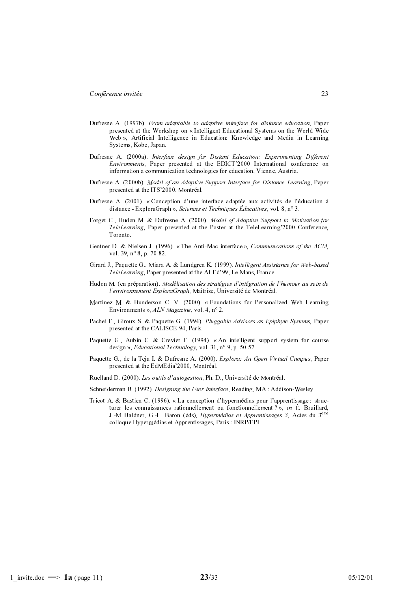- Dufresne A. (1997b). From adaptable to adaptive interface for distance education, Paper presented at the Workshop on « Intelligent Educational Systems on the World Wide Web », Artificial Intelligence in Education: Knowledge and Media in Learning Systems, Kobe, Japan.
- Dufresne A. (2000a). Interface design for Distant Education: Experimenting Different Environments, Paper presented at the EDICT'2000 International conference on information a communication technologies for education, Vienne, Austria.
- Dufresne A. (2000b). Model of an Adaptive Support Interface for Distance Learning, Paper presented at the ITS'2000, Montréal.
- Dufresne A. (2001). « Conception d'une interface adaptée aux activités de l'éducation à distance - ExploraGraph », Sciences et Techniques Éducatives, vol.  $8, n^{\circ} 3$ .
- Forget C., Hudon M. & Dufresne A. (2000). Model of Adaptive Support to Motivation for TeleLearning, Paper presented at the Poster at the TeleLearning'2000 Conference, Toronto.
- Gentner D. & Nielsen J. (1996). « The Anti-Mac interface ». Communications of the ACM. vol. 39,  $n^{\circ}$  8, p. 70-82.
- Girard J., Paquette G., Miara A. & Lundgren K. (1999). Intelligent Assistance for Web-based TeleLearning, Paper presented at the AI-Ed'99, Le Mans, France.
- Hudon M. (en préparation). Modélisation des stratégies d'intégration de l'humour au sein de l'environnement ExploraGraph, Maîtrise, Université de Montréal.
- Martinez M. & Bunderson C. V. (2000). «Foundations for Personalized Web Learning Environments », ALN Magazine, vol. 4,  $n^{\circ}$  2.
- Pachet F., Giroux S. & Paquette G. (1994). Pluggable Advisors as Epiphyte Systems, Paper presented at the CALISCE-94, Paris.
- Paquette G., Aubin C. & Crevier F. (1994). « An intelligent support system for course design », Educational Technology, vol. 31,  $n^{\circ}$  9, p. 50-57.
- Paquette G., de la Teja I. & Dufresne A. (2000). Explora: An Open Virtual Campus, Paper presented at the EdMEdia' 2000, Montréal.
- Ruelland D. (2000). Les outils d'autogestion, Ph. D., Université de Montréal.
- Schneiderman B. (1992). Designing the User Interface, Reading, MA: Addison-Wesley.
- Tricot A. & Bastien C. (1996). « La conception d'hypermédias pour l'apprentissage : structurer les connaissances rationnellement ou fonctionnellement ?», in É. Bruillard, J.-M. Baldner, G.-L. Baron (éds), *Hypermédias et Apprentissages 3*, Actes du 3<sup>ème</sup> colloque Hypermédias et Apprentissages, Paris : INRP/EPI.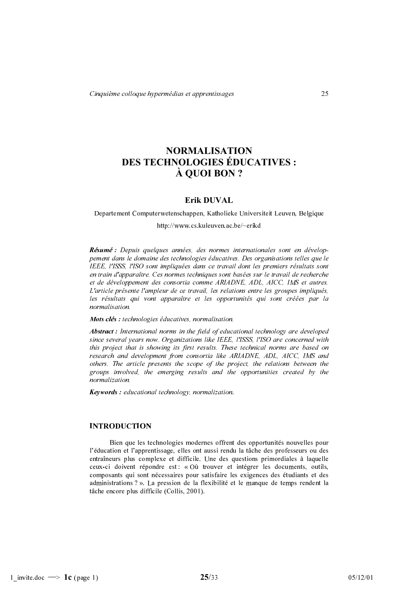# **NORMALISATION** DES TECHNOLOGIES ÉDUCATIVES : À OUOI BON ?

# Erik DUVAL

Departement Computerwetenschappen, Katholieke Universiteit Leuven, Belgique

http://www.cs.kuleuven.ac.be/~erikd

Résumé : Depuis quelques années, des normes internationales sont en développement dans le domaine des technologies éducatives. Des organisations telles que le IEEE, l'ISSS, l'ISO sont impliquées dans ce travail dont les premiers résultats sont en train d'apparaître. Ces normes techniques sont basées sur le travail de recherche et de développement des consortia comme ARIADNE, ADL, AICC, IMS et autres. L'article présente l'ampleur de ce travail, les relations entre les groupes impliqués, les résultats qui vont apparaître et les opportunités qui sont créées par la normalisation.

#### Mots clés : technologies éducatives, normalisation.

**Abstract**: International norms in the field of educational technology are developed since several years now. Organizations like IEEE, l'ISSS, l'ISO are concerned with this project that is showing its first results. These technical norms are based on research and development from consortia like ARIADNE, ADL, AICC, IMS and others. The article presents the scope of the project, the relations between the groups involved, the emerging results and the opportunities created by the normalization.

**Keywords**: educational technology, normalization.

#### **INTRODUCTION**

Bien que les technologies modernes offrent des opportunités nouvelles pour l'éducation et l'apprentissage, elles ont aussi rendu la tâche des professeurs ou des entraîneurs plus complexe et difficile. Une des questions primordiales à laquelle ceux-ci doivent répondre est : « Où trouver et intégrer les documents, outils, composants qui sont nécessaires pour satisfaire les exigences des étudiants et des administrations ? ». La pression de la flexibilité et le manque de temps rendent la tâche encore plus difficile (Collis, 2001).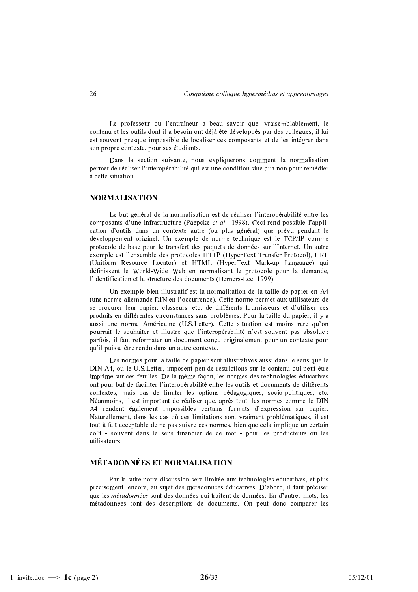Le professeur ou l'entraîneur a beau savoir que, vraisemblablement, le contenu et les outils dont il a besoin ont déjà été développés par des collègues, il lui est souvent presque impossible de localiser ces composants et de les intégrer dans son propre contexte, pour ses étudiants.

Dans la section suivante, nous expliquerons comment la normalisation permet de réaliser l'interopérabilité qui est une condition sine qua non pour remédier à cette situation.

#### **NORMALISATION**

Le but général de la normalisation est de réaliser l'interopérabilité entre les composants d'une infrastructure (Paepcke et al., 1998). Ceci rend possible l'application d'outils dans un contexte autre (ou plus général) que prévu pendant le développement originel. Un exemple de norme technique est le TCP/IP comme protocole de base pour le transfert des paquets de données sur l'Internet. Un autre exemple est l'ensemble des protocoles HTTP (HyperText Transfer Protocol), URL (Uniform Resource Locator) et HTML (HyperText Mark-up Language) qui définissent le World-Wide Web en normalisant le protocole pour la demande, l'identification et la structure des documents (Berners-Lee, 1999).

Un exemple bien illustratif est la normalisation de la taille de papier en A4 (une norme allemande DIN en l'occurrence). Cette norme permet aux utilisateurs de se procurer leur papier, classeurs, etc. de différents fournisseurs et d'utiliser ces produits en différentes circonstances sans problèmes. Pour la taille du papier, il y a aussi une norme Américaine (U.S.Letter). Cette situation est moins rare qu'on pourrait le souhaiter et illustre que l'interopérabilité n'est souvent pas absolue : parfois, il faut reformater un document conçu originalement pour un contexte pour qu'il puisse être rendu dans un autre contexte.

Les normes pour la taille de papier sont illustratives aussi dans le sens que le DIN A4, ou le U.S. Letter, imposent peu de restrictions sur le contenu qui peut être imprimé sur ces feuilles. De la même façon, les normes des technologies éducatives ont pour but de faciliter l'interopérabilité entre les outils et documents de différents contextes, mais pas de limiter les options pédagogiques, socio-politiques, etc. Néanmoins, il est important de réaliser que, après tout, les normes comme le DIN A4 rendent également impossibles certains formats d'expression sur papier. Naturellement, dans les cas où ces limitations sont vraiment problématiques, il est tout à fait acceptable de ne pas suivre ces normes, bien que cela implique un certain coût - souvent dans le sens financier de ce mot - pour les producteurs ou les utilisateurs.

# **MÉTADONNÉES ET NORMALISATION**

Par la suite notre discussion sera limitée aux technologies éducatives, et plus précisément encore, au sujet des métadonnées éducatives. D'abord, il faut préciser que les *métadonnées* sont des données qui traitent de données. En d'autres mots, les métadonnées sont des descriptions de documents. On peut donc comparer les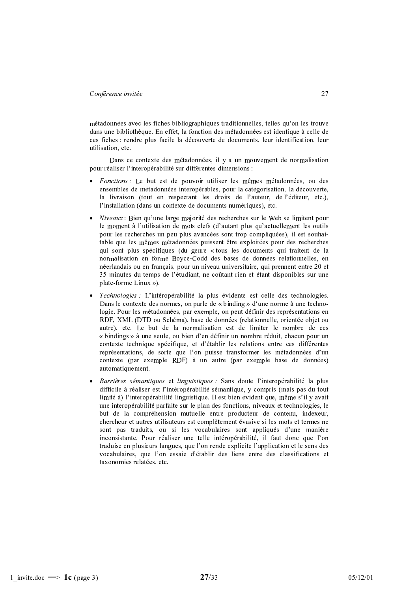métadonnées avec les fiches bibliographiques traditionnelles, telles qu'on les trouve dans une bibliothèque. En effet, la fonction des métadonnées est identique à celle de ces fiches : rendre plus facile la découverte de documents, leur identification, leur utilisation etc

Dans ce contexte des métadonnées, il y a un mouvement de normalisation pour réaliser l'interopérabilité sur différentes dimensions :

- · Fonctions : Le but est de pouvoir utiliser les mêmes métadonnées, ou des ensembles de métadonnées interopérables, pour la catégorisation, la découverte, la livraison (tout en respectant les droits de l'auteur, de l'éditeur, etc.), l'installation (dans un contexte de documents numériques), etc.
- Niveaux : Bien qu'une large majorité des recherches sur le Web se limitent pour le moment à l'utilisation de mots clefs (d'autant plus qu'actuellement les outils pour les recherches un peu plus avancées sont trop compliquées), il est souhaitable que les mêmes métadonnées puissent être exploitées pour des recherches qui sont plus spécifiques (du genre « tous les documents qui traitent de la normalisation en forme Boyce-Codd des bases de données relationnelles, en néerlandais ou en francais, pour un niveau universitaire, qui prennent entre 20 et 35 minutes du temps de l'étudiant, ne coûtant rien et étant disponibles sur une plate-forme Linux »).
- Technologies : L'intéropérabilité la plus évidente est celle des technologies.  $\bullet$ Dans le contexte des normes, on parle de « binding » d'une norme à une technologie. Pour les métadonnées, par exemple, on peut définir des représentations en RDF, XML (DTD ou Schéma), base de données (relationnelle, orientée objet ou autre), etc. Le but de la normalisation est de limiter le nombre de ces « bindings » à une seule, ou bien d'en définir un nombre réduit, chacun pour un contexte technique spécifique, et d'établir les relations entre ces différentes représentations, de sorte que l'on puisse transformer les métadonnées d'un contexte (par exemple RDF) à un autre (par exemple base de données) automatiquement.
- Barrières sémantiques et linguistiques : Sans doute l'interopérabilité la plus difficile à réaliser est l'intéropérabilité sémantique, y compris (mais pas du tout limité à) l'interopérabilité linguistique. Il est bien évident que, même s'il y avait une interopérabilité parfaite sur le plan des fonctions, niveaux et technologies, le but de la compréhension mutuelle entre producteur de contenu, indexeur, chercheur et autres utilisateurs est complètement évasive si les mots et termes ne sont pas traduits, ou si les vocabulaires sont appliqués d'une manière inconsistante. Pour réaliser une telle intéropérabilité, il faut donc que l'on traduise en plusieurs langues, que l'on rende explicite l'application et le sens des vocabulaires, que l'on essaie d'établir des liens entre des classifications et taxonomies relatées, etc.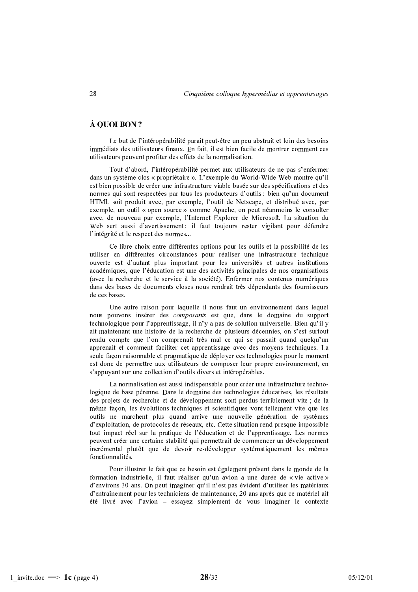# À OUOI BON ?

Le but de l'intéropérabilité paraît peut-être un peu abstrait et loin des besoins immédiats des utilisateurs finaux. En fait, il est bien facile de montrer comment ces utilisateurs peuvent profiter des effets de la normalisation.

Tout d'abord, l'intéropérabilité permet aux utilisateurs de ne pas s'enfermer dans un système clos « propriétaire ». L'exemple du World-Wide Web montre qu'il est bien possible de créer une infrastructure viable basée sur des spécifications et des normes qui sont respectées par tous les producteurs d'outils : bien qu'un document HTML soit produit avec, par exemple, l'outil de Netscape, et distribué avec, par exemple, un outil « open source » comme Apache, on peut néanmoins le consulter avec, de nouveau par exemple, l'Internet Explorer de Microsoft. La situation du Web sert aussi d'avertissement : il faut toujours rester vigilant pour défendre l'intégrité et le respect des normes...

Ce libre choix entre différentes options pour les outils et la possibilité de les utiliser en différentes circonstances pour réaliser une infrastructure technique ouverte est d'autant plus important pour les universités et autres institutions académiques, que l'éducation est une des activités principales de nos organisations (avec la recherche et le service à la société). Enfermer nos contenus numériques dans des bases de documents closes nous rendrait très dépendants des fournisseurs de ces bases.

Une autre raison pour laquelle il nous faut un environnement dans lequel nous pouvons insérer des *composants* est que, dans le domaine du support technologique pour l'apprentissage, il n'y a pas de solution universelle. Bien qu'il y ait maintenant une histoire de la recherche de plusieurs décennies, on s'est surtout rendu compte que l'on comprenait très mal ce qui se passait quand quelqu'un apprenait et comment faciliter cet apprentissage avec des moyens techniques. La seule façon raisonnable et pragmatique de déployer ces technologies pour le moment est donc de permettre aux utilisateurs de composer leur propre environnement, en s'appuyant sur une collection d'outils divers et intéropérables.

La normalisation est aussi indispensable pour créer une infrastructure technologique de base pérenne. Dans le domaine des technologies éducatives, les résultats des projets de recherche et de développement sont perdus terriblement vite ; de la même facon, les évolutions techniques et scientifiques vont tellement vite que les outils ne marchent plus quand arrive une nouvelle génération de systèmes d'exploitation, de protocoles de réseaux, etc. Cette situation rend presque impossible tout impact réel sur la pratique de l'éducation et de l'apprentissage. Les normes peuvent créer une certaine stabilité qui permettrait de commencer un développement incrémental plutôt que de devoir re-développer systématiquement les mêmes fonctionnalités.

Pour illustrer le fait que ce besoin est également présent dans le monde de la formation industrielle, il faut réaliser qu'un avion a une durée de « vie active » d'environs 30 ans. On peut imaginer qu'il n'est pas évident d'utiliser les matériaux d'entraînement pour les techniciens de maintenance, 20 ans après que ce matériel ait été livré avec l'avion - essayez simplement de vous imaginer le contexte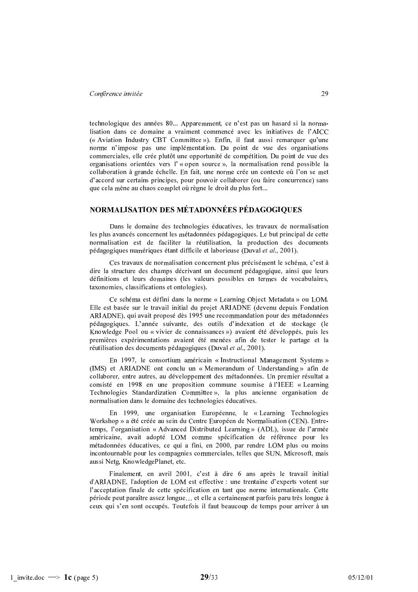technologique des années 80... Apparemment, ce n'est pas un hasard si la normalisation dans ce domaine a vraiment commencé avec les initiatives de l'AICC (« Aviation Industry CBT Committee »). Enfin, il faut aussi remarquer qu'une norme n'impose pas une implémentation. Du point de vue des organisations commerciales, elle crée plutôt une opportunité de compétition. Du point de vue des organisations orientées vers l'« open source », la normalisation rend possible la collaboration à grande échelle. En fait, une norme crée un contexte où l'on se met d'accord sur certains principes, pour pouvoir collaborer (ou faire concurrence) sans que cela mène au chaos complet où règne le droit du plus fort...

# NORMALISATION DES MÉTADONNÉES PÉDAGOGIQUES

Dans le domaine des technologies éducatives, les travaux de normalisation les plus avancés concernent les métadonnées pédagogiques. Le but principal de cette normalisation est de faciliter la réutilisation, la production des documents pédagogiques numériques étant difficile et laborieuse (Duval et al., 2001).

Ces travaux de normalisation concernent plus précisément le schéma, c'est à dire la structure des champs décrivant un document pédagogique, ainsi que leurs définitions et leurs domaines (les valeurs possibles en termes de vocabulaires, taxonomies, classifications et ontologies).

Ce schéma est défini dans la norme « Learning Object Metadata » ou LOM. Elle est basée sur le travail initial du projet ARIADNE (devenu depuis Fondation ARIADNE), qui avait proposé dès 1995 une recommandation pour des métadonnées pédagogiques. L'année suivante, des outils d'indexation et de stockage (le Knowledge Pool ou « vivier de connaissances ») avaient été développés, puis les premières expérimentations avaient été menées afin de tester le partage et la réutilisation des documents pédagogiques (Duval et al., 2001).

En 1997, le consortium américain « Instructional Management Systems » (IMS) et ARIADNE ont conclu un « Memorandum of Understanding » afin de collaborer, entre autres, au développement des métadonnées. Un premier résultat a consisté en 1998 en une proposition commune soumise à l'IEEE « Learning Technologies Standardization Committee », la plus ancienne organisation de normalisation dans le domaine des technologies éducatives.

En 1999, une organisation Européenne, le «Learning Technologies Workshop » a été créée au sein du Centre Européen de Normalisation (CEN). Entretemps, l'organisation « Advanced Distributed Learning » (ADL), issue de l'armée américaine, avait adopté LOM comme spécification de référence pour les métadonnées éducatives, ce qui a fini, en 2000, par rendre LOM plus ou moins incontournable pour les compagnies commerciales, telles que SUN, Microsoft, mais aussi Netg, KnowledgePlanet, etc.

Finalement, en avril 2001, c'est à dire 6 ans après le travail initial d'ARIADNE, l'adoption de LOM est effective : une trentaine d'experts votent sur l'acceptation finale de cette spécification en tant que norme internationale. Cette période peut paraître assez longue... et elle a certainement parfois paru très longue à ceux qui s'en sont occupés. Toutefois il faut beaucoup de temps pour arriver à un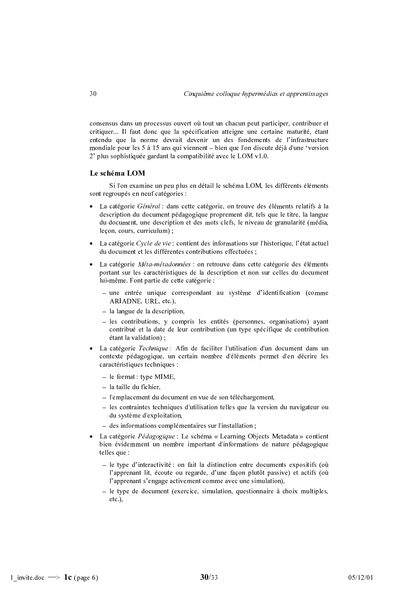consensus dans un processus ouvert où tout un chacun peut participer, contribuer et critiquer... Il faut donc que la spécification atteigne une certaine maturité, étant entendu que la norme devrait devenir un des fondements de l'infrastructure mondiale pour les 5 à 15 ans qui viennent – bien que l'on discute déjà d'une 'version 2' plus sophistiquée gardant la compatibilité avec le LOM v1.0.

# Le schéma LOM

Si l'on examine un peu plus en détail le schéma LOM, les différents éléments sont regroupés en neuf catégories :

- La catégorie *Général* : dans cette catégorie, on trouve des éléments relatifs à la description du document pédagogique proprement dit, tels que le titre, la langue du document, une description et des mots clefs, le niveau de granularité (média, leçon, cours, curriculum);
- La catégorie Cycle de vie : contient des informations sur l'historique, l'état actuel du document et les différentes contributions effectuées ;
- La catégorie *Méta-métadonnées* : on retrouve dans cette catégorie des éléments portant sur les caractéristiques de la description et non sur celles du document lui-même. Font partie de cette catégorie :
	- une entrée unique correspondant au système d'identification (comme ARIADNE, URL, etc.),
	- $-$  la langue de la description,
	- $-$  les contributions, y compris les entités (personnes, organisations) avant contribué et la date de leur contribution (un type spécifique de contribution étant la validation) :
- La catégorie Technique : Afin de faciliter l'utilisation d'un document dans un contexte pédagogique, un certain nombre d'éléments permet d'en décrire les caractéristiques techniques :
	- $-$  le format : type MIME,
	- $-$  la taille du fichier,
	- l'emplacement du document en vue de son téléchargement,
	- les contraintes techniques d'utilisation telles que la version du navigateur ou du système d'exploitation,
	- des informations complémentaires sur l'installation;
- La catégorie Pédagogique : Le schéma « Learning Objects Metadata » contient bien évidemment un nombre important d'informations de nature pédagogique telles que :
	- le type d'interactivité : on fait la distinction entre documents expositifs (où l'apprenant lit, écoute ou regarde, d'une façon plutôt passive) et actifs (où l'apprenant s'engage activement comme avec une simulation),
	- $-$  le type de document (exercice, simulation, questionnaire à choix multiples,  $etc.$ ).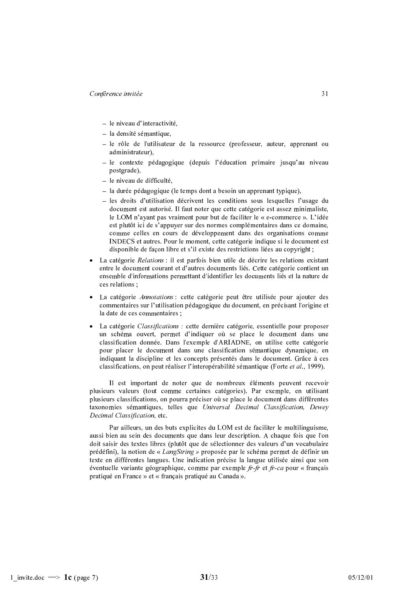- le niveau d'interactivité.
- $-$  la densité sémantique,
- le rôle de l'utilisateur de la ressource (professeur, auteur, apprenant ou administrateur).
- le contexte pédagogique (depuis l'éducation primaire jusqu'au niveau postgrade).
- le niveau de difficulté,
- la durée pédagogique (le temps dont a besoin un apprenant typique),
- les droits d'utilisation décrivent les conditions sous lesquelles l'usage du document est autorisé. Il faut noter que cette catégorie est assez minimaliste, le LOM n'avant pas vraiment pour but de faciliter le « e-commerce ». L'idée est plutôt ici de s'appuyer sur des normes complémentaires dans ce domaine, comme celles en cours de développement dans des organisations comme INDECS et autres. Pour le moment, cette catégorie indique si le document est disponible de façon libre et s'il existe des restrictions liées au copyright ;
- La catégorie Relations : il est parfois bien utile de décrire les relations existant entre le document courant et d'autres documents liés. Cette catégorie contient un ensemble d'informations permettant d'identifier les documents liés et la nature de ces relations :
- La catégorie Annotations : cette catégorie peut être utilisée pour ajouter des commentaires sur l'utilisation pédagogique du document, en précisant l'origine et la date de ces commentaires :
- La catégorie *Classifications* : cette dernière catégorie, essentielle pour proposer un schéma ouvert, permet d'indiquer où se place le document dans une classification donnée. Dans l'exemple d'ARIADNE, on utilise cette catégorie pour placer le document dans une classification sémantique dynamique, en indiquant la discipline et les concepts présentés dans le document. Grâce à ces classifications, on peut réaliser l'interopérabilité sémantique (Forte et al., 1999).

Il est important de noter que de nombreux éléments peuvent recevoir plusieurs valeurs (tout comme certaines catégories). Par exemple, en utilisant plusieurs classifications, on pourra préciser où se place le document dans différentes taxonomies sémantiques, telles que Universal Decimal Classification, Dewey Decimal Classification, etc.

Par ailleurs, un des buts explicites du LOM est de faciliter le multilinguisme, aussi bien au sein des documents que dans leur description. A chaque fois que l'on doit saisir des textes libres (plutôt que de sélectionner des valeurs d'un vocabulaire prédéfini), la notion de « LangString » proposée par le schéma permet de définir un texte en différentes langues. Une indication précise la langue utilisée ainsi que son éventuelle variante géographique, comme par exemple  $fr$ - $fr$  et  $fr$ -ca pour « français pratiqué en France » et « français pratiqué au Canada ».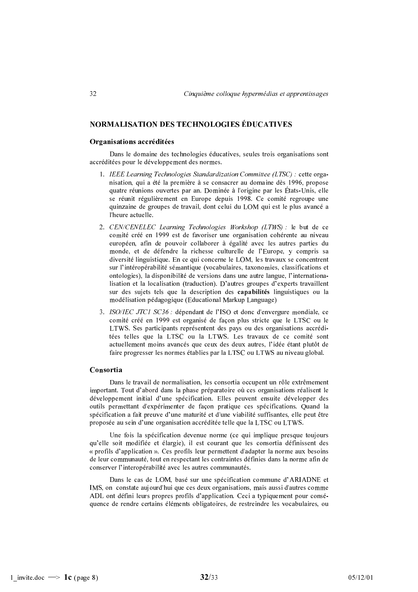# **NORMALISATION DES TECHNOLOGIES ÉDUCATIVES**

#### Organisations accréditées

Dans le domaine des technologies éducatives, seules trois organisations sont accréditées pour le développement des normes.

- 1. IEEE Learning Technologies Standardization Committee (LTSC): cette organisation, qui a été la première à se consacrer au domaine dès 1996, propose quatre réunions ouvertes par an. Dominée à l'origine par les États-Unis, elle se réunit régulièrement en Europe depuis 1998. Ce comité regroupe une quinzaine de groupes de travail, dont celui du LOM qui est le plus avancé a l'heure actuelle.
- 2. CEN/CENELEC Learning Technologies Workshop (LTWS) : le but de ce comité créé en 1999 est de favoriser une organisation cohérente au niveau européen, afin de pouvoir collaborer à égalité avec les autres parties du monde, et de défendre la richesse culturelle de l'Europe, y compris sa diversité linguistique. En ce qui concerne le LOM, les travaux se concentrent sur l'intéropérabilité sémantique (vocabulaires, taxonomies, classifications et ontologies), la disponibilité de versions dans une autre langue, l'internationalisation et la localisation (traduction). D'autres groupes d'experts travaillent sur des sujets tels que la description des capabilités linguistiques ou la modélisation pédagogique (Educational Markup Language)
- 3. ISO/IEC JTC1 SC36 : dépendant de l'ISO et donc d'envergure mondiale, ce comité créé en 1999 est organisé de façon plus stricte que le LTSC ou le LTWS. Ses participants représentent des pays ou des organisations accréditées telles que la LTSC ou la LTWS. Les travaux de ce comité sont actuellement moins avancés que ceux des deux autres, l'idée étant plutôt de faire progresser les normes établies par la LTSC ou LTWS au niveau global.

#### Consortia

Dans le travail de normalisation, les consortia occupent un rôle extrêmement important. Tout d'abord dans la phase préparatoire où ces organisations réalisent le développement initial d'une spécification. Elles peuvent ensuite développer des outils permettant d'expérimenter de facon pratique ces spécifications. Quand la spécification a fait preuve d'une maturité et d'une viabilité suffisantes, elle peut être proposée au sein d'une organisation accréditée telle que la LTSC ou LTWS.

Une fois la spécification devenue norme (ce qui implique presque toujours qu'elle soit modifiée et élargie), il est courant que les consortia définissent des « profils d'application ». Ces profils leur permettent d'adapter la norme aux besoins de leur communauté, tout en respectant les contraintes définies dans la norme afin de conserver l'interopérabilité avec les autres communautés.

Dans le cas de LOM, basé sur une spécification commune d'ARIADNE et IMS, on constate aujourd'hui que ces deux organisations, mais aussi d'autres comme ADL ont défini leurs propres profils d'application. Ceci a typiquement pour conséquence de rendre certains éléments obligatoires, de restreindre les vocabulaires, ou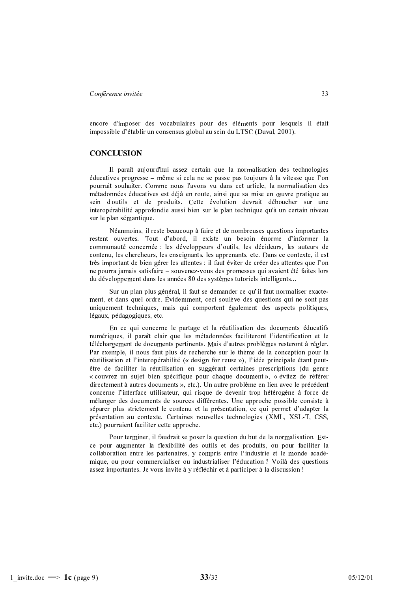encore d'imposer des vocabulaires pour des éléments pour lesquels il était impossible d'établir un consensus global au sein du LTSC (Duval, 2001).

#### **CONCLUSION**

Il paraît aujourd'hui assez certain que la normalisation des technologies éducatives progresse – même si cela ne se passe pas toujours à la vitesse que l'on pourrait souhaiter. Comme nous l'avons vu dans cet article, la normalisation des métadonnées éducatives est déjà en route, ainsi que sa mise en œuvre pratique au sein d'outils et de produits. Cette évolution devrait déboucher sur une interopérabilité approfondie aussi bien sur le plan technique qu'à un certain niveau sur le plan sémantique.

Néanmoins, il reste beaucoup à faire et de nombreuses questions importantes restent ouvertes. Tout d'abord, il existe un besoin énorme d'informer la communauté concernée : les développeurs d'outils, les décideurs, les auteurs de contenu, les chercheurs, les enseignants, les apprenants, etc. Dans ce contexte, il est très important de bien gérer les attentes : il faut éviter de créer des attentes que l'on ne pourra jamais satisfaire – souvenez-vous des promesses qui avaient été faites lors du développement dans les années 80 des systèmes tutoriels intelligents...

Sur un plan plus général, il faut se demander ce qu'il faut normaliser exactement, et dans quel ordre. Évidemment, ceci soulève des questions qui ne sont pas uniquement techniques, mais qui comportent également des aspects politiques, légaux, pédagogiques, etc.

En ce qui concerne le partage et la réutilisation des documents éducatifs numériques, il paraît clair que les métadonnées faciliteront l'identification et le téléchargement de documents pertinents. Mais d'autres problèmes resteront à régler. Par exemple, il nous faut plus de recherche sur le thème de la conception pour la réutilisation et l'interopérabilité (« design for reuse »). l'idée principale étant peutêtre de faciliter la réutilisation en suggérant certaines prescriptions (du genre « couvrez un sujet bien spécifique pour chaque document », « évitez de référer directement à autres documents », etc.). Un autre problème en lien avec le précédent concerne l'interface utilisateur, qui risque de devenir trop hétérogène à force de mélanger des documents de sources différentes. Une approche possible consiste à séparer plus strictement le contenu et la présentation, ce qui permet d'adapter la présentation au contexte. Certaines nouvelles technologies (XML, XSL-T, CSS, etc.) pourraient faciliter cette approche.

Pour terminer, il faudrait se poser la question du but de la normalisation. Estce pour augmenter la flexibilité des outils et des produits, ou pour faciliter la collaboration entre les partenaires, y compris entre l'industrie et le monde académique, ou pour commercialiser ou industrialiser l'éducation? Voilà des questions assez importantes. Je vous invite à y réfléchir et à participer à la discussion !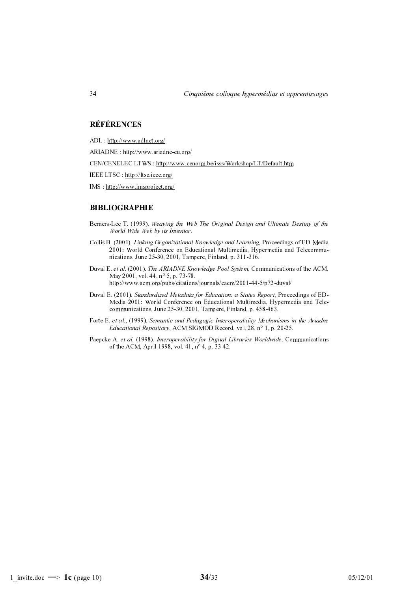# **RÉFÉRENCES**

- ADL: http://www.adlnet.org/
- ARIADNE: http://www.ariadne-eu.org/
- CEN/CENELEC LTWS : http://www.cenorm.be/isss/Workshop/LT/Default.htm

IEEE LTSC : http://ltsc.ieee.org/

 $IMS: http://www.imsproject.org/$ 

#### **BIBLIOGRAPHIE**

- Berners-Lee T. (1999). Weaving the Web The Original Design and Ultimate Destiny of the World Wide Web by its Inventor.
- Collis B. (2001). Linking Organizational Knowledge and Learning, Proceedings of ED-Media 2001: World Conference on Educational Multimedia, Hypermedia and Telecommunications, June 25-30, 2001, Tampere, Finland, p. 311-316.
- Duval E. et al. (2001). The ARIADNE Knowledge Pool System, Communications of the ACM, May 2001, vol. 44, n° 5, p. 73-78. http://www.acm.org/pubs/citations/journals/cacm/2001-44-5/p72-duval/
- Duval E. (2001). Standardized Metadata for Education: a Status Report, Proceedings of ED-Media 2001: World Conference on Educational Multimedia, Hypermedia and Telecommunications, June 25-30, 2001, Tampere, Finland, p. 458-463.
- Forte E. et al., (1999). Semantic and Pedagogic Interoperability Mechanisms in the Ariadne Educational Repository, ACM SIGMOD Record, vol. 28, n° 1, p. 20-25.
- Paepcke A. et al. (1998). Interoperability for Digital Libraries Worldwide. Communications of the ACM, April 1998, vol. 41, n° 4, p. 33-42.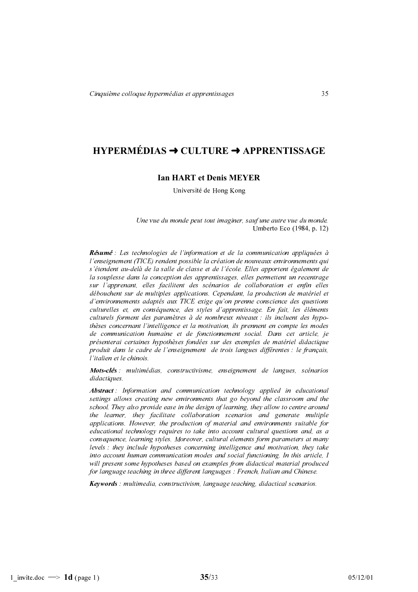# HYPERMÉDIAS → CULTURE → APPRENTISSAGE

## **Ian HART et Denis MEYER**

Université de Hong Kong

Une vue du monde peut tout imaginer, sauf une autre vue du monde. Umberto Eco (1984, p. 12)

Résumé : Les technologies de l'information et de la communication appliquées à l'enseignement (TICE) rendent possible la création de nouveaux environnements qui s'étendent au-delà de la salle de classe et de l'école. Elles apportent également de la souplesse dans la conception des apprentissages, elles permettent un recentrage sur l'apprenant, elles facilitent des scénarios de collaboration et enfin elles débouchent sur de multiples applications. Cependant, la production de matériel et d'environnements adaptés aux TICE exige qu'on prenne conscience des questions culturelles et, en conséquence, des styles d'apprentissage. En fait, les éléments culturels forment des paramètres à de nombreux niveaux : ils incluent des hypothèses concernant l'intelligence et la motivation, ils prennent en compte les modes de communication humaine et de fonctionnement social. Dans cet article, je présenterai certaines hypothèses fondées sur des exemples de matériel didactique produit dans le cadre de l'enseignement de trois langues différentes : le français, l'italien et le chinois.

Mots-clés : multimédias, constructivisme, enseignement de langues, scénarios didactiques.

Abstract: Information and communication technology applied in educational settings allows creating new environments that go beyond the classroom and the school. They also provide ease in the design of learning, they allow to centre around the learner, they facilitate collaboration scenarios and generate multiple applications. However, the production of material and environments suitable for educational technology requires to take into account cultural questions and, as a consequence, learning styles. Moreover, cultural elements form parameters at many levels : they include hypotheses concerning intelligence and motivation, they take into account human communication modes and social functioning. In this article, I will present some hypotheses based on examples from didactical material produced for language teaching in three different languages : French, Italian and Chinese.

**Keywords**: multimedia, constructivism, language teaching, didactical scenarios.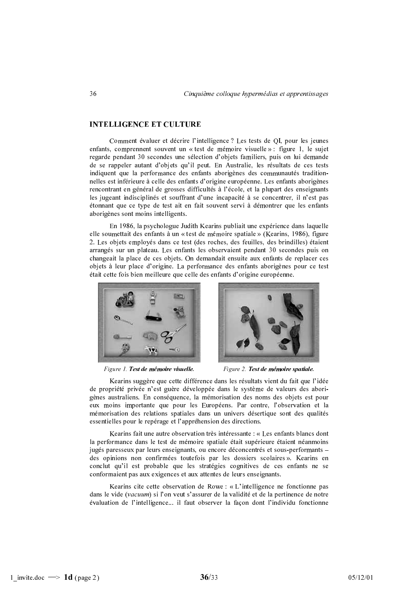# **INTELLIGENCE ET CULTURE**

Comment évaluer et décrire l'intelligence ? Les tests de QI, pour les jeunes enfants, comprennent souvent un « test de mémoire visuelle » : figure 1, le sujet regarde pendant 30 secondes une sélection d'objets familiers, puis on lui demande de se rappeler autant d'objets qu'il peut. En Australie, les résultats de ces tests indiquent que la performance des enfants aborigènes des communautés traditionnelles est inférieure à celle des enfants d'origine européenne. Les enfants aborigènes rencontrant en général de grosses difficultés à l'école, et la plupart des enseignants les jugeant indisciplinés et souffrant d'une incapacité à se concentrer, il n'est pas étonnant que ce type de test ait en fait souvent servi à démontrer que les enfants aborigènes sont moins intelligents.

En 1986, la psychologue Judith Kearins publiait une expérience dans laquelle elle soumettait des enfants à un « test de mémoire spatiale » (Kearins, 1986), figure 2. Les objets employés dans ce test (des roches, des feuilles, des brindilles) étaient arrangés sur un plateau. Les enfants les observaient pendant 30 secondes puis on changeait la place de ces objets. On demandait ensuite aux enfants de replacer ces objets à leur place d'origine. La performance des enfants aborigènes pour ce test était cette fois bien meilleure que celle des enfants d'origine européenne.



Figure 1. Test de mémoire visu elle.



Figure 2. Test de mémoire spatiale.

Kearins suggère que cette différence dans les résultats vient du fait que l'idée de propriété privée n'est guère développée dans le système de valeurs des aborigènes australiens. En conséquence, la mémorisation des noms des objets est pour eux moins importante que pour les Européens. Par contre, l'observation et la mémorisation des relations spatiales dans un univers désertique sont des qualités essentielles pour le repérage et l'appréhension des directions.

Kearins fait une autre observation très intéressante : « Les enfants blancs dont la performance dans le test de mémoire spatiale était supérieure étaient néanmoins jugés paresseux par leurs enseignants, ou encore déconcentrés et sous-performants des opinions non confirmées toutefois par les dossiers scolaires ». Kearins en conclut qu'il est probable que les stratégies cognitives de ces enfants ne se conformaient pas aux exigences et aux attentes de leurs enseignants.

Kearins cite cette observation de Rowe : « L'intelligence ne fonctionne pas dans le vide (vacuum) si l'on veut s'assurer de la validité et de la pertinence de notre évaluation de l'intelligence... il faut observer la facon dont l'individu fonctionne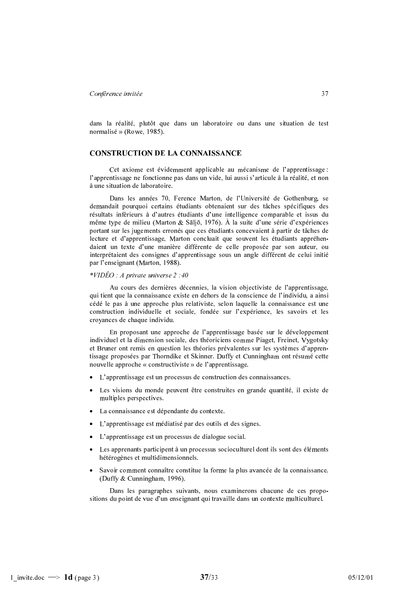dans la réalité, plutôt que dans un laboratoire ou dans une situation de test normalisé » (Rowe, 1985).

# **CONSTRUCTION DE LA CONNAISSANCE**

Cet axiome est évidemment applicable au mécanisme de l'apprentissage : l'apprentissage ne fonctionne pas dans un vide, lui aussi s'articule à la réalité, et non à une situation de laboratoire.

Dans les années 70, Ference Marton, de l'Université de Gothenburg, se demandait pourquoi certains étudiants obtenaient sur des tâches spécifiques des résultats inférieurs à d'autres étudiants d'une intelligence comparable et issus du même type de milieu (Marton & Säljö, 1976). À la suite d'une série d'expériences portant sur les jugements erronés que ces étudiants concevaient à partir de tâches de lecture et d'apprentissage, Marton concluait que souvent les étudiants appréhendaient un texte d'une manière différente de celle proposée par son auteur, ou interprétaient des consignes d'apprentissage sous un angle différent de celui initié par l'enseignant (Marton, 1988).

#### \* $VIDÉO: A private universe 2:40$

Au cours des dernières décennies, la vision objectiviste de l'apprentissage, qui tient que la connaissance existe en dehors de la conscience de l'individu, a ainsi cédé le pas à une approche plus relativiste, selon laquelle la connaissance est une construction individuelle et sociale, fondée sur l'expérience, les savoirs et les croyances de chaque individu.

En proposant une approche de l'apprentissage basée sur le développement individuel et la dimension sociale, des théoriciens comme Piaget, Freinet, Vygotsky et Bruner ont remis en question les théories prévalentes sur les systèmes d'apprentissage proposées par Thorndike et Skinner. Duffy et Cunningham ont résumé cette nouvelle approche « constructiviste » de l'apprentissage.

- L'apprentissage est un processus de construction des connaissances.
- Les visions du monde peuvent être construites en grande quantité, il existe de multiples perspectives.
- La connaissance est dépendante du contexte.
- L'apprentissage est médiatisé par des outils et des signes.
- L'apprentissage est un processus de dialogue social.
- Les apprenants participent à un processus socioculturel dont ils sont des éléments hétérogènes et multidimensionnels.
- Savoir comment connaître constitue la forme la plus avancée de la connaissance. (Duffy & Cunningham, 1996).

Dans les paragraphes suivants, nous examinerons chacune de ces propositions du point de vue d'un enseignant qui travaille dans un contexte multiculturel.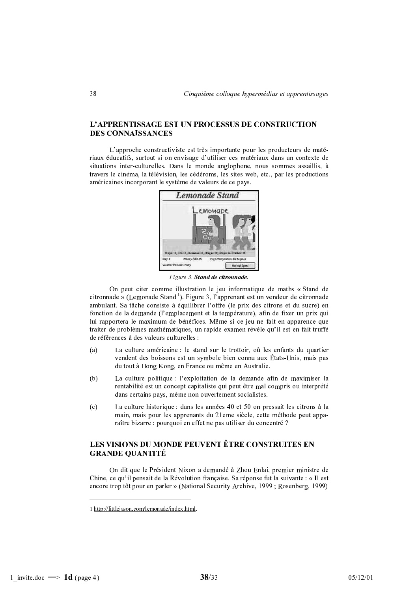# L'APPRENTISSAGE EST UN PROCESSUS DE CONSTRUCTION **DES CONNAISSANCES**

L'approche constructiviste est très importante pour les producteurs de matériaux éducatifs, surtout si on envisage d'utiliser ces matériaux dans un contexte de situations inter-culturelles. Dans le monde anglophone, nous sommes assaillis, à travers le cinéma, la télévision, les cédéroms, les sites web, etc., par les productions américaines incorporant le système de valeurs de ce pays.



Figure 3. Stand de citronnade.

On peut citer comme illustration le jeu informatique de maths « Stand de citronnade » (Lemonade Stand<sup>1</sup>). Figure 3, l'apprenant est un vendeur de citronnade ambulant. Sa tâche consiste à équilibrer l'offre (le prix des citrons et du sucre) en fonction de la demande (l'emplacement et la température), afin de fixer un prix qui lui rapportera le maximum de bénéfices. Même si ce jeu ne fait en apparence que traiter de problèmes mathématiques, un rapide examen révèle qu'il est en fait truffé de références à des valeurs culturelles

- $(a)$ La culture américaine : le stand sur le trottoir, où les enfants du quartier vendent des boissons est un symbole bien connu aux États-Unis, mais pas du tout à Hong Kong, en France ou même en Australie.
- La culture politique : l'exploitation de la demande afin de maximiser la  $(b)$ rentabilité est un concept capitaliste qui peut être mal compris ou interprété dans certains pays, même non ouvertement socialistes.
- $(c)$ La culture historique : dans les années 40 et 50 on pressait les citrons à la main, mais pour les apprenants du 21eme siècle, cette méthode peut apparaître bizarre : pourquoi en effet ne pas utiliser du concentré ?

# LES VISIONS DU MONDE PEUVENT ÊTRE CONSTRUITES EN **GRANDE OUANTITÉ**

On dit que le Président Nixon a demandé à Zhou Enlai, premier ministre de Chine, ce qu'il pensait de la Révolution française. Sa réponse fut la suivante : « Il est encore trop tôt pour en parler » (National Security Archive, 1999; Rosenberg, 1999)

<sup>1</sup> http://littlejason.com/lemonade/index.html.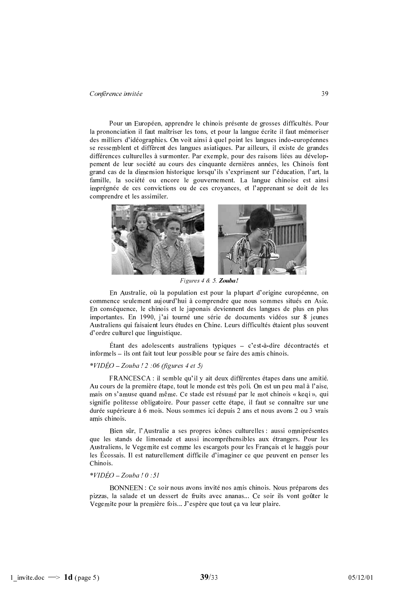Pour un Européen, apprendre le chinois présente de grosses difficultés. Pour la prononciation il faut maîtriser les tons, et pour la langue écrite il faut mémoriser des milliers d'idéographies. On voit ainsi à quel point les langues indo-européennes se ressemblent et diffèrent des langues asiatiques. Par ailleurs, il existe de grandes différences culturelles à surmonter. Par exemple, pour des raisons liées au développement de leur société au cours des cinquante dernières années, les Chinois font grand cas de la dimension historique lorsqu'ils s'expriment sur l'éducation, l'art, la famille, la société ou encore le gouvernement. La langue chinoise est ainsi imprégnée de ces convictions ou de ces croyances, et l'apprenant se doit de les comprendre et les assimiler.



Figures 4 & 5. Zouba!

En Australie, où la population est pour la plupart d'origine européenne, on commence seulement aujourd'hui à comprendre que nous sommes situés en Asie. En conséquence, le chinois et le japonais deviennent des langues de plus en plus importantes. En 1990, j'ai tourné une série de documents vidéos sur 8 jeunes Australiens qui faisaient leurs études en Chine. Leurs difficultés étaient plus souvent d'ordre culturel que linguistique.

Étant des adolescents australiens typiques  $-$  c'est-à-dire décontractés et informels – ils ont fait tout leur possible pour se faire des amis chinois.

#### \*VIDÉO – Zouba ! 2 :06 (figures 4 et 5)

FRANCESCA : il semble qu'il y ait deux différentes étapes dans une amitié. Au cours de la première étape, tout le monde est très poli. On est un peu mal à l'aise, mais on s'amuse quand même. Ce stade est résumé par le mot chinois « keqi », qui signifie politesse obligatoire. Pour passer cette étape, il faut se connaître sur une durée supérieure à 6 mois. Nous sommes ici depuis 2 ans et nous avons 2 ou 3 vrais amis chinois.

Bien sûr, l'Australie a ses propres icônes culturelles : aussi omniprésentes que les stands de limonade et aussi incompréhensibles aux étrangers. Pour les Australiens, le Vegemite est comme les escargots pour les Français et le haggis pour les Écossais. Il est naturellement difficile d'imaginer ce que peuvent en penser les Chinois.

#### $*VIDÉO-Zouba$ ! 0:51

BONNEEN : Ce soir nous avons invité nos amis chinois. Nous préparons des pizzas, la salade et un dessert de fruits avec ananas... Ce soir ils vont goûter le Vegemite pour la première fois... J'espère que tout ça va leur plaire.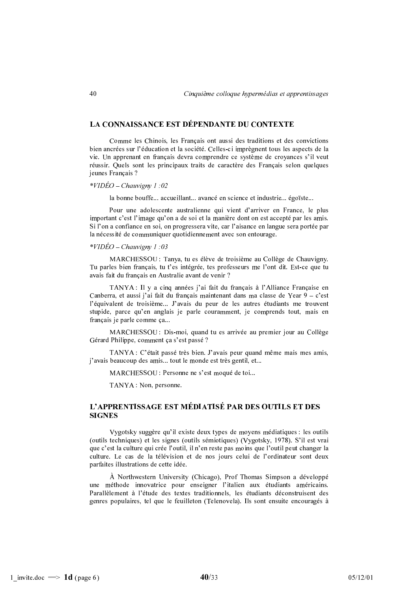## LA CONNAISSANCE EST DÉPENDANTE DU CONTEXTE

Comme les Chinois, les Français ont aussi des traditions et des convictions bien ancrées sur l'éducation et la société. Celles-ci imprègnent tous les aspects de la vie. Un apprenant en français devra comprendre ce système de croyances s'il veut réussir. Quels sont les principaux traits de caractère des Français selon quelques jeunes Français ?

*\*VIDÉO – Chauvigny 1:02* 

la bonne bouffe... accueillant... avancé en science et industrie... égoïste...

Pour une adolescente australienne qui vient d'arriver en France, le plus important c'est l'image qu'on a de soi et la manière dont on est accepté par les amis. Si l'on a confiance en soi, on progressera vite, car l'aisance en langue sera portée par la nécessité de communiquer quotidiennement avec son entourage.

 $*VIDÉO-Chauvigny 1:03$ 

MARCHESSOU : Tanya, tu es élève de troisième au Collège de Chauvigny. Tu parles bien français, tu t'es intégrée, tes professeurs me l'ont dit. Est-ce que tu avais fait du français en Australie avant de venir ?

TANYA : Il y a cinq années j'ai fait du français à l'Alliance Française en Canberra, et aussi i'ai fait du francais maintenant dans ma classe de Year  $9 - c$ 'est l'équivalent de troisième... J'avais du peur de les autres étudiants me trouvent stupide, parce qu'en anglais je parle couramment, je comprends tout, mais en français je parle comme ça...

MARCHESSOU : Dis-moi, quand tu es arrivée au premier jour au Collège Gérard Philippe, comment ça s'est passé ?

TANYA : C'était passé très bien. J'avais peur quand même mais mes amis, j'avais beaucoup des amis... tout le monde est très gentil, et...

MARCHESSOU : Personne ne s'est moqué de toi...

TANYA : Non, personne.

# L'APPRENTISSAGE EST MÉDIATISÉ PAR DES OUTILS ET DES **SIGNES**

Vygotsky suggère qu'il existe deux types de moyens médiatiques : les outils (outils techniques) et les signes (outils sémiotiques) (Vygotsky, 1978). S'il est vrai que c'est la culture qui crée l'outil, il n'en reste pas moins que l'outil peut changer la culture. Le cas de la télévision et de nos jours celui de l'ordinateur sont deux parfaites illustrations de cette idée.

À Northwestern University (Chicago), Prof Thomas Simpson a développé une méthode innovatrice pour enseigner l'italien aux étudiants américains. Parallèlement à l'étude des textes traditionnels, les étudiants déconstruisent des genres populaires, tel que le feuilleton (Telenovela). Ils sont ensuite encouragés à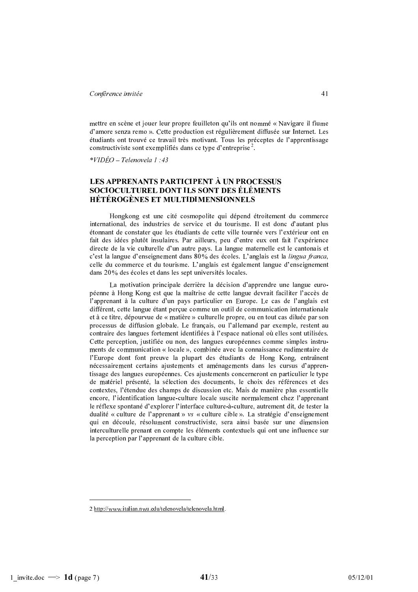mettre en scène et jouer leur propre feuilleton qu'ils ont nommé « Navigare il fiume d'amore senza remo ». Cette production est régulièrement diffusée sur Internet. Les étudiants ont trouvé ce travail très motivant. Tous les préceptes de l'apprentissage constructiviste sont exemplifiés dans ce type d'entreprise<sup>2</sup>.

 $*VIDÉO-Telenovela 1:43$ 

# LES APPRENANTS PARTICIPENT À UN PROCESSUS **SOCIOCULTUREL DONT ILS SONT DES ÉLÉMENTS HÉTÉROGÈNES ET MULTIDIMENSIONNELS**

Hongkong est une cité cosmopolite qui dépend étroitement du commerce international, des industries de service et du tourisme. Il est donc d'autant plus étonnant de constater que les étudiants de cette ville tournée vers l'extérieur ont en fait des idées plutôt insulaires. Par ailleurs, peu d'entre eux ont fait l'expérience directe de la vie culturelle d'un autre pays. La langue maternelle est le cantonais et c'est la langue d'enseignement dans 80% des écoles. L'anglais est la *lingua franca*, celle du commerce et du tourisme. L'anglais est également langue d'enseignement dans 20% des écoles et dans les sept universités locales.

La motivation principale derrière la décision d'apprendre une langue européenne à Hong Kong est que la maîtrise de cette langue devrait faciliter l'accès de l'apprenant à la culture d'un pays particulier en Europe. Le cas de l'anglais est différent, cette langue étant percue comme un outil de communication internationale et à ce titre, dépourvue de « matière » culturelle propre, ou en tout cas diluée par son processus de diffusion globale. Le français, ou l'allemand par exemple, restent au contraire des langues fortement identifiées à l'espace national où elles sont utilisées. Cette perception, justifiée ou non, des langues européennes comme simples instruments de communication « locale », combinée avec la connaissance rudimentaire de l'Europe dont font preuve la plupart des étudiants de Hong Kong, entraînent nécessairement certains ajustements et aménagements dans les cursus d'apprentissage des langues européennes. Ces ajustements concerneront en particulier le type de matériel présenté, la sélection des documents, le choix des références et des contextes, l'étendue des champs de discussion etc. Mais de manière plus essentielle encore, l'identification langue-culture locale suscite normalement chez l'apprenant le réflexe spontané d'explorer l'interface culture-à-culture, autrement dit, de tester la dualité « culture de l'apprenant » vs « culture cible ». La stratégie d'enseignement qui en découle, résolument constructiviste, sera ainsi basée sur une dimension interculturelle prenant en compte les éléments contextuels qui ont une influence sur la perception par l'apprenant de la culture cible.

<sup>2</sup> http://www.italian.nwu.edu/telenovela/telenovela.html.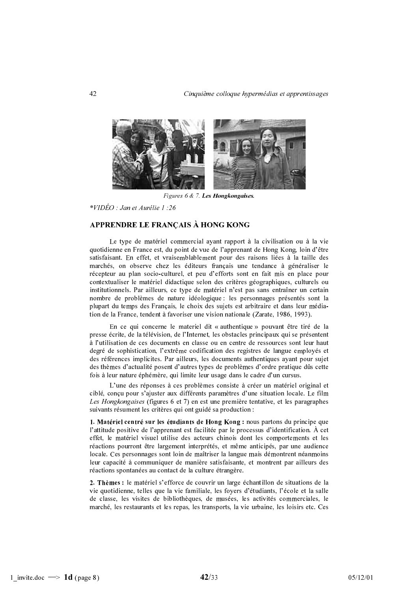

Figures 6 & 7. Les Hongkongaises.

\*VIDÉO : Jan et Aurélie 1 :26

# APPRENDRE LE FRANÇAIS À HONG KONG

Le type de matériel commercial ayant rapport à la civilisation ou à la vie quotidienne en France est, du point de vue de l'apprenant de Hong Kong, loin d'être satisfaisant. En effet, et vraisemblablement pour des raisons liées à la taille des marchés, on observe chez les éditeurs français une tendance à généraliser le récepteur au plan socio-culturel, et peu d'efforts sont en fait mis en place pour contextualiser le matériel didactique selon des critères géographiques, culturels ou institutionnels. Par ailleurs, ce type de matériel n'est pas sans entraîner un certain nombre de problèmes de nature idéologique : les personnages présentés sont la plupart du temps des Français, le choix des sujets est arbitraire et dans leur médiation de la France, tendent à favoriser une vision nationale (Zarate, 1986, 1993).

En ce qui concerne le materiel dit « authentique » pouvant être tiré de la presse écrite, de la télévision, de l'Internet, les obstacles principaux qui se présentent à l'utilisation de ces documents en classe ou en centre de ressources sont leur haut degré de sophistication, l'extrême codification des registres de langue employés et des références implicites. Par ailleurs, les documents authentiques ayant pour sujet des thèmes d'actualité posent d'autres types de problèmes d'ordre pratique dûs cette fois à leur nature éphémère, qui limite leur usage dans le cadre d'un cursus.

L'une des réponses à ces problèmes consiste à créer un matériel original et ciblé, conçu pour s'ajuster aux différents paramètres d'une situation locale. Le film Les Hongkongaises (figures 6 et 7) en est une première tentative, et les paragraphes suivants résument les critères qui ont guidé sa production :

1. Matériel centré sur les étudiants de Hong Kong : nous partons du principe que l'attitude positive de l'apprenant est facilitée par le processus d'identification. À cet effet, le matériel visuel utilise des acteurs chinois dont les comportements et les réactions pourront être largement interprétés, et même anticipés, par une audience locale. Ces personnages sont loin de maîtriser la langue mais démontrent néanmoins leur capacité à communiquer de manière satisfaisante, et montrent par ailleurs des réactions spontanées au contact de la culture étrangère.

2. Thèmes : le matériel s'efforce de couvrir un large échantillon de situations de la vie quotidienne, telles que la vie familiale, les foyers d'étudiants, l'école et la salle de classe, les visites de bibliothèques, de musées, les activités commerciales, le marché, les restaurants et les repas, les transports, la vie urbaine, les loisirs etc. Ces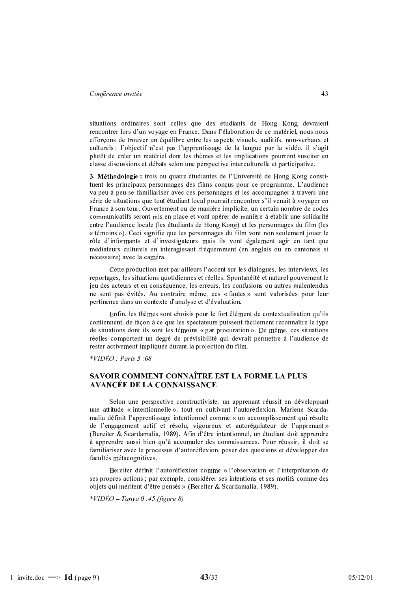situations ordinaires sont celles que des étudiants de Hong Kong devraient rencontrer lors d'un voyage en France. Dans l'élaboration de ce matériel, nous nous efforçons de trouver un équilibre entre les aspects visuels, auditifs, non-verbaux et culturels : l'objectif n'est pas l'apprentissage de la langue par la vidéo, il s'agit plutôt de créer un matériel dont les thèmes et les implications pourront susciter en classe discussions et débats selon une perspective interculturelle et participative.

3. Méthodologie : trois ou quatre étudiantes de l'Université de Hong Kong constituent les principaux personnages des films conçus pour ce programme. L'audience va peu à peu se familiariser avec ces personnages et les accompagner à travers une série de situations que tout étudiant local pourrait rencontrer s'il venait à voyager en France à son tour. Ouvertement ou de manière implicite, un certain nombre de codes communicatifs seront mis en place et vont opérer de manière à établir une solidarité entre l'audience locale (les étudiants de Hong Kong) et les personnages du film (les « témoins »). Ceci signifie que les personnages du film vont non seulement jouer le rôle d'informants et d'investigateurs mais ils vont également agir en tant que médiateurs culturels en interagissant fréquemment (en anglais ou en cantonais si nécessaire) avec la caméra.

Cette production met par ailleurs l'accent sur les dialogues, les interviews, les reportages, les situations quotidiennes et réelles. Spontanéité et naturel gouvernent le jeu des acteurs et en conséquence, les erreurs, les confusions ou autres malentendus ne sont pas évités. Au contraire même, ces « fautes » sont valorisées pour leur pertinence dans un contexte d'analyse et d'évaluation.

Enfin, les thèmes sont choisis pour le fort élément de contextualisation qu'ils contiennent, de façon à ce que les spectateurs puissent facilement reconnaître le type de situations dont ils sont les témoins « par procuration ». De même, ces situations réelles comportent un degré de prévisibilité qui devrait permettre à l'audience de rester activement impliquée durant la projection du film.

 $*VIDÉO: Paris 5:08$ 

# SAVOIR COMMENT CONNAÎTRE EST LA FORME LA PLUS **AVANCÉE DE LA CONNAISSANCE**

Selon une perspective constructiviste, un apprenant réussit en développant une attitude « intentionnelle », tout en cultivant l'autoréflexion. Marlene Scardamalia définit l'apprentissage intentionnel comme « un accomplissement qui résulte de l'engagement actif et résolu, vigoureux et autorégulateur de l'apprenant » (Bereiter & Scardamalia, 1989). Afin d'être intentionnel, un étudiant doit apprendre à apprendre aussi bien qu'à accumuler des connaissances. Pour réussir, il doit se familiariser avec le processus d'autoréflexion, poser des questions et développer des facultés métacognitives.

Bereiter définit l'autoréflexion comme « l'observation et l'interprétation de ses propres actions ; par exemple, considérer ses intentions et ses motifs comme des objets qui méritent d'être pensés » (Bereiter & Scardamalia, 1989).

 $*VIDÉO - Tanva 0:45$  (figure 8)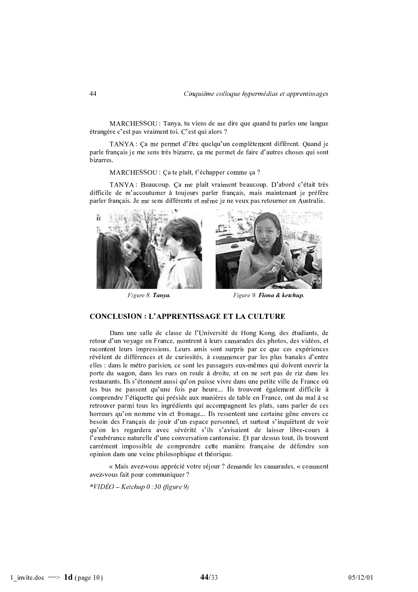MARCHESSOU : Tanya, tu viens de me dire que quand tu parles une langue étrangère c'est pas vraiment toi. C'est qui alors ?

TANYA : Ça me permet d'être quelqu'un complètement différent. Quand je parle français je me sens très bizarre, ça me permet de faire d'autres choses qui sont bizarres.

MARCHESSOU : Ca te plaît, t'échapper comme ça ?

TANYA : Beaucoup. Ça me plaît vraiment beaucoup. D'abord c'était très difficile de m'accoutumer à toujours parler français, mais maintenant je préfère parler français. Je me sens différente et même je ne veux pas retourner en Australie.



Figure 8. Tanya.

Figure 9. Fiona & ketchup.

# **CONCLUSION : L'APPRENTISSAGE ET LA CULTURE**

Dans une salle de classe de l'Université de Hong Kong, des étudiants, de retour d'un voyage en France, montrent à leurs camarades des photos, des vidéos, et racontent leurs impressions. Leurs amis sont surpris par ce que ces expériences révèlent de différences et de curiosités, à commencer par les plus banales d'entre elles : dans le métro parisien, ce sont les passagers eux-mêmes qui doivent ouvrir la porte du wagon, dans les rues on roule à droite, et on ne sert pas de riz dans les restaurants. Ils s'étonnent aussi qu'on puisse vivre dans une petite ville de France où les bus ne passent qu'une fois par heure... Ils trouvent également difficile à comprendre l'étiquette qui préside aux manières de table en France, ont du mal à se retrouver parmi tous les ingrédients qui accompagnent les plats, sans parler de ces horreurs qu'on nomme vin et fromage... Ils ressentent une certaine gêne envers ce besoin des Français de jouir d'un espace personnel, et surtout s'inquiètent de voir qu'on les regardera avec sévérité s'ils s'avisaient de laisser libre-cours à l'exubérance naturelle d'une conversation cantonaise. Et par dessus tout, ils trouvent carrément impossible de comprendre cette manière française de défendre son opinion dans une veine philosophique et théorique.

« Mais avez-vous apprécié votre séjour ? demande les camarades, « comment avez-vous fait pour communiquer ?

 $*VIDÉO - Ketchup 0:30$  (figure 9)